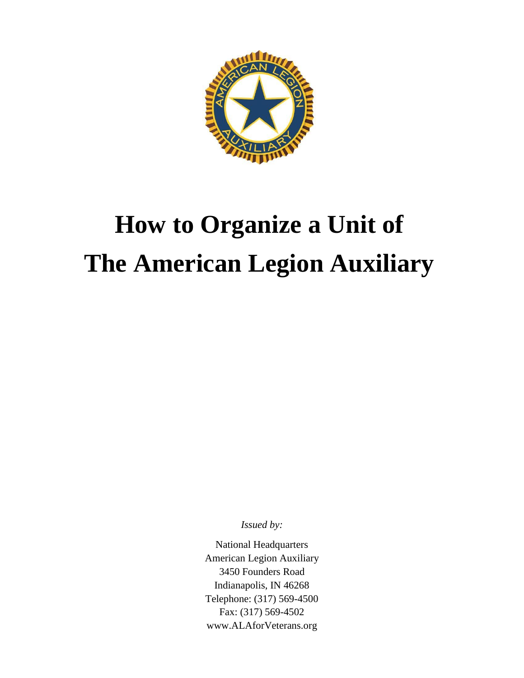

# **How to Organize a Unit of The American Legion Auxiliary**

*Issued by:*

National Headquarters American Legion Auxiliary 3450 Founders Road Indianapolis, IN 46268 Telephone: (317) 569-4500 Fax: (317) 569-4502 [www.ALAforVeterans.org](http://www.alaforveterans.org/)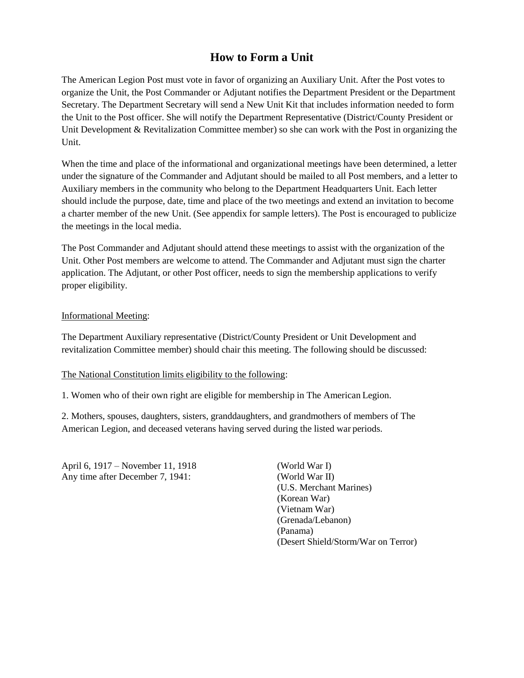## **How to Form a Unit**

The American Legion Post must vote in favor of organizing an Auxiliary Unit. After the Post votes to organize the Unit, the Post Commander or Adjutant notifies the Department President or the Department Secretary. The Department Secretary will send a New Unit Kit that includes information needed to form the Unit to the Post officer. She will notify the Department Representative (District/County President or Unit Development & Revitalization Committee member) so she can work with the Post in organizing the Unit.

When the time and place of the informational and organizational meetings have been determined, a letter under the signature of the Commander and Adjutant should be mailed to all Post members, and a letter to Auxiliary members in the community who belong to the Department Headquarters Unit. Each letter should include the purpose, date, time and place of the two meetings and extend an invitation to become a charter member of the new Unit. (See appendix for sample letters). The Post is encouraged to publicize the meetings in the local media.

The Post Commander and Adjutant should attend these meetings to assist with the organization of the Unit. Other Post members are welcome to attend. The Commander and Adjutant must sign the charter application. The Adjutant, or other Post officer, needs to sign the membership applications to verify proper eligibility.

## Informational Meeting:

The Department Auxiliary representative (District/County President or Unit Development and revitalization Committee member) should chair this meeting. The following should be discussed:

#### The National Constitution limits eligibility to the following:

1. Women who of their own right are eligible for membership in The American Legion.

2. Mothers, spouses, daughters, sisters, granddaughters, and grandmothers of members of The American Legion, and deceased veterans having served during the listed war periods.

April 6, 1917 – November 11, 1918 (World War I) Any time after December 7, 1941: (World War II)

(U.S. Merchant Marines) (Korean War) (Vietnam War) (Grenada/Lebanon) (Panama) (Desert Shield/Storm/War on Terror)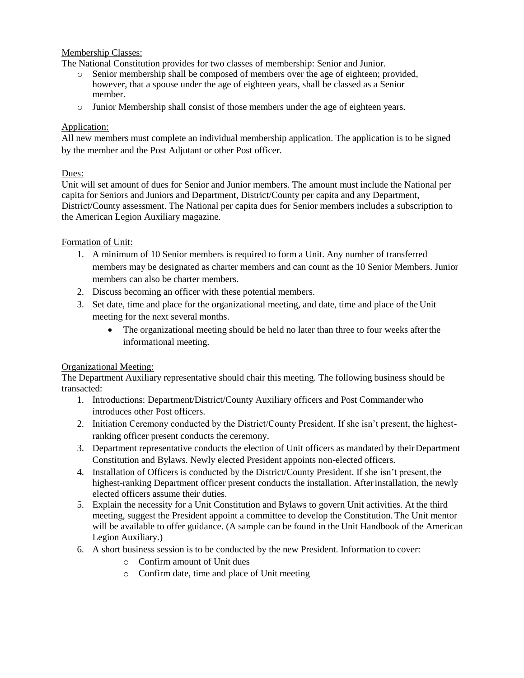## Membership Classes:

The National Constitution provides for two classes of membership: Senior and Junior.

- o Senior membership shall be composed of members over the age of eighteen; provided, however, that a spouse under the age of eighteen years, shall be classed as a Senior member.
- o Junior Membership shall consist of those members under the age of eighteen years.

## Application:

All new members must complete an individual membership application. The application is to be signed by the member and the Post Adjutant or other Post officer.

## Dues:

Unit will set amount of dues for Senior and Junior members. The amount must include the National per capita for Seniors and Juniors and Department, District/County per capita and any Department, District/County assessment. The National per capita dues for Senior members includes a subscription to the American Legion Auxiliary magazine.

## Formation of Unit:

- 1. A minimum of 10 Senior members is required to form a Unit. Any number of transferred members may be designated as charter members and can count as the 10 Senior Members. Junior members can also be charter members.
- 2. Discuss becoming an officer with these potential members.
- 3. Set date, time and place for the organizational meeting, and date, time and place of the Unit meeting for the next several months.
	- The organizational meeting should be held no later than three to four weeks after the informational meeting.

## Organizational Meeting:

The Department Auxiliary representative should chair this meeting. The following business should be transacted:

- 1. Introductions: Department/District/County Auxiliary officers and Post Commanderwho introduces other Post officers.
- 2. Initiation Ceremony conducted by the District/County President. If she isn't present, the highestranking officer present conducts the ceremony.
- 3. Department representative conducts the election of Unit officers as mandated by their Department Constitution and Bylaws. Newly elected President appoints non-elected officers.
- 4. Installation of Officers is conducted by the District/County President. If she isn't present,the highest-ranking Department officer present conducts the installation. Afterinstallation, the newly elected officers assume their duties.
- 5. Explain the necessity for a Unit Constitution and Bylaws to govern Unit activities. At the third meeting, suggest the President appoint a committee to develop the Constitution. The Unit mentor will be available to offer guidance. (A sample can be found in the Unit Handbook of the American Legion Auxiliary.)
- 6. A short business session is to be conducted by the new President. Information to cover:
	- o Confirm amount of Unit dues
	- o Confirm date, time and place of Unit meeting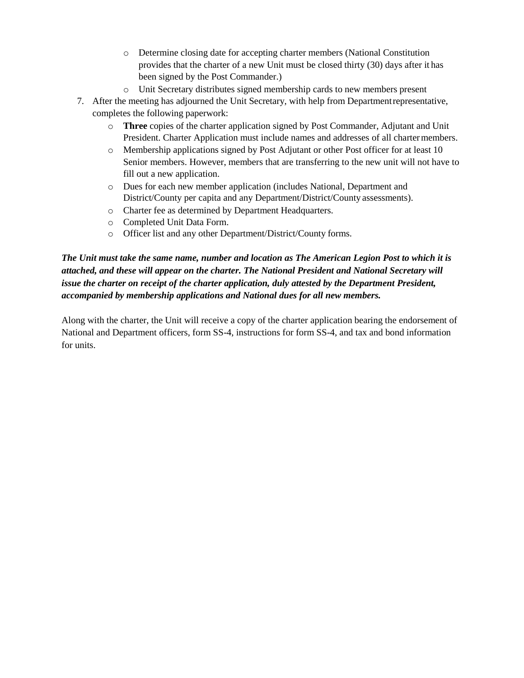- o Determine closing date for accepting charter members (National Constitution provides that the charter of a new Unit must be closed thirty (30) days after it has been signed by the Post Commander.)
- o Unit Secretary distributes signed membership cards to new members present
- 7. After the meeting has adjourned the Unit Secretary, with help from Departmentrepresentative, completes the following paperwork:
	- o **Three** copies of the charter application signed by Post Commander, Adjutant and Unit President. Charter Application must include names and addresses of all chartermembers.
	- o Membership applications signed by Post Adjutant or other Post officer for at least 10 Senior members. However, members that are transferring to the new unit will not have to fill out a new application.
	- o Dues for each new member application (includes National, Department and District/County per capita and any Department/District/County assessments).
	- o Charter fee as determined by Department Headquarters.
	- o Completed Unit Data Form.
	- o Officer list and any other Department/District/County forms.

*The Unit must take the same name, number and location as The American Legion Post to which it is attached, and these will appear on the charter. The National President and National Secretary will issue the charter on receipt of the charter application, duly attested by the Department President, accompanied by membership applications and National dues for all new members.*

Along with the charter, the Unit will receive a copy of the charter application bearing the endorsement of National and Department officers, form SS-4, instructions for form SS-4, and tax and bond information for units.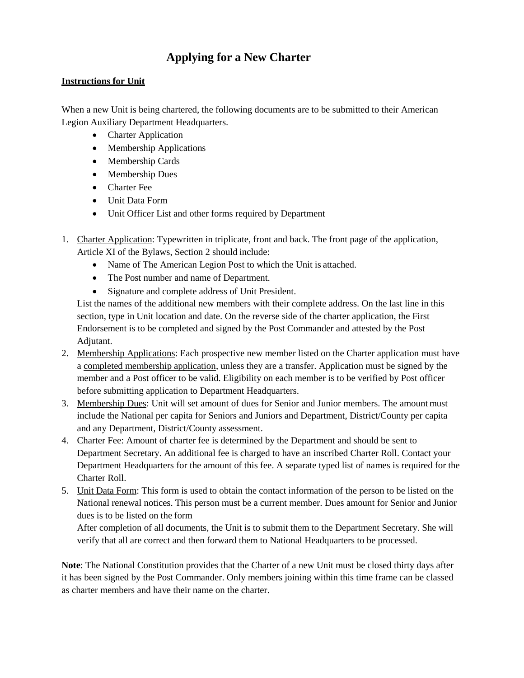## **Applying for a New Charter**

## **Instructions for Unit**

When a new Unit is being chartered, the following documents are to be submitted to their American Legion Auxiliary Department Headquarters.

- Charter Application
- Membership Applications
- Membership Cards
- Membership Dues
- Charter Fee
- Unit Data Form
- Unit Officer List and other forms required by Department
- 1. Charter Application: Typewritten in triplicate, front and back. The front page of the application, Article XI of the Bylaws, Section 2 should include:
	- Name of The American Legion Post to which the Unit is attached.
	- The Post number and name of Department.
	- Signature and complete address of Unit President.

List the names of the additional new members with their complete address. On the last line in this section, type in Unit location and date. On the reverse side of the charter application, the First Endorsement is to be completed and signed by the Post Commander and attested by the Post Adjutant.

- 2. Membership Applications: Each prospective new member listed on the Charter application must have a completed membership application, unless they are a transfer. Application must be signed by the member and a Post officer to be valid. Eligibility on each member is to be verified by Post officer before submitting application to Department Headquarters.
- 3. Membership Dues: Unit will set amount of dues for Senior and Junior members. The amount must include the National per capita for Seniors and Juniors and Department, District/County per capita and any Department, District/County assessment.
- 4. Charter Fee: Amount of charter fee is determined by the Department and should be sent to Department Secretary. An additional fee is charged to have an inscribed Charter Roll. Contact your Department Headquarters for the amount of this fee. A separate typed list of names is required for the Charter Roll.
- 5. Unit Data Form: This form is used to obtain the contact information of the person to be listed on the National renewal notices. This person must be a current member. Dues amount for Senior and Junior dues is to be listed on the form

After completion of all documents, the Unit is to submit them to the Department Secretary. She will verify that all are correct and then forward them to National Headquarters to be processed.

**Note**: The National Constitution provides that the Charter of a new Unit must be closed thirty days after it has been signed by the Post Commander. Only members joining within this time frame can be classed as charter members and have their name on the charter.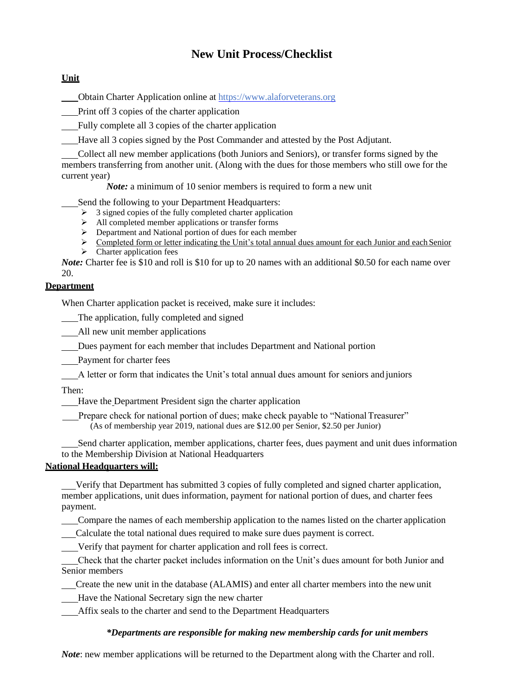## **New Unit Process/Checklist**

## **Unit**

Obtain Charter Application online at [https://www.alaforveterans.org](https://www.alaforveterans.org/)

Print off 3 copies of the charter application

Fully complete all 3 copies of the charter application

Have all 3 copies signed by the Post Commander and attested by the Post Adjutant.

Collect all new member applications (both Juniors and Seniors), or transfer forms signed by the members transferring from another unit. (Along with the dues for those members who still owe for the current year)

*Note:* a minimum of 10 senior members is required to form a new unit

Send the following to your Department Headquarters:

- $\geq$  3 signed copies of the fully completed charter application
- ➢ All completed member applications or transfer forms
- ➢ Department and National portion of dues for each member
- $\triangleright$  Completed form or letter indicating the Unit's total annual dues amount for each Junior and each Senior
- $\triangleright$  Charter application fees

*Note:* Charter fee is \$10 and roll is \$10 for up to 20 names with an additional \$0.50 for each name over 20.

## **Department**

When Charter application packet is received, make sure it includes:

The application, fully completed and signed

All new unit member applications

Dues payment for each member that includes Department and National portion

Payment for charter fees

A letter or form that indicates the Unit's total annual dues amount for seniors and juniors

Then:

Have the Department President sign the charter application

Prepare check for national portion of dues; make check payable to "National Treasurer" (As of membership year 2019, national dues are \$12.00 per Senior, \$2.50 per Junior)

Send charter application, member applications, charter fees, dues payment and unit dues information to the Membership Division at National Headquarters

## **National Headquarters will:**

Verify that Department has submitted 3 copies of fully completed and signed charter application, member applications, unit dues information, payment for national portion of dues, and charter fees payment.

Compare the names of each membership application to the names listed on the charter application

Calculate the total national dues required to make sure dues payment is correct.

Verify that payment for charter application and roll fees is correct.

Check that the charter packet includes information on the Unit's dues amount for both Junior and Senior members

Create the new unit in the database (ALAMIS) and enter all charter members into the new unit

Have the National Secretary sign the new charter

Affix seals to the charter and send to the Department Headquarters

## *\*Departments are responsible for making new membership cards for unit members*

*Note*: new member applications will be returned to the Department along with the Charter and roll.